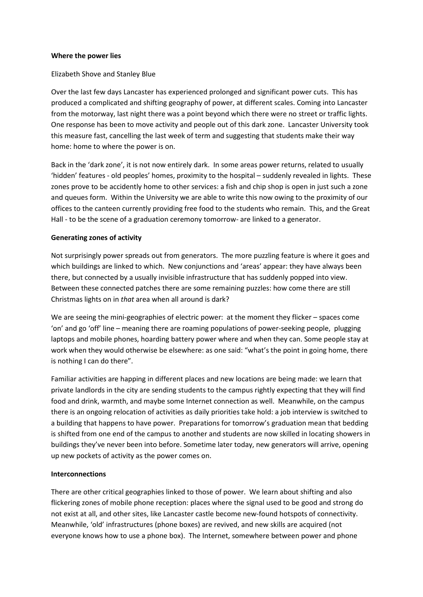#### **Where the power lies**

## Elizabeth Shove and Stanley Blue

Over the last few days Lancaster has experienced prolonged and significant power cuts. This has produced a complicated and shifting geography of power, at different scales. Coming into Lancaster from the motorway, last night there was a point beyond which there were no street or traffic lights. One response has been to move activity and people out of this dark zone. Lancaster University took this measure fast, cancelling the last week of term and suggesting that students make their way home: home to where the power is on.

Back in the 'dark zone', it is not now entirely dark. In some areas power returns, related to usually 'hidden' features - old peoples' homes, proximity to the hospital – suddenly revealed in lights. These zones prove to be accidently home to other services: a fish and chip shop is open in just such a zone and queues form. Within the University we are able to write this now owing to the proximity of our offices to the canteen currently providing free food to the students who remain. This, and the Great Hall - to be the scene of a graduation ceremony tomorrow- are linked to a generator.

## **Generating zones of activity**

Not surprisingly power spreads out from generators. The more puzzling feature is where it goes and which buildings are linked to which. New conjunctions and 'areas' appear: they have always been there, but connected by a usually invisible infrastructure that has suddenly popped into view. Between these connected patches there are some remaining puzzles: how come there are still Christmas lights on in *that* area when all around is dark?

We are seeing the mini-geographies of electric power: at the moment they flicker – spaces come 'on' and go 'off' line – meaning there are roaming populations of power-seeking people, plugging laptops and mobile phones, hoarding battery power where and when they can. Some people stay at work when they would otherwise be elsewhere: as one said: "what's the point in going home, there is nothing I can do there".

Familiar activities are happing in different places and new locations are being made: we learn that private landlords in the city are sending students to the campus rightly expecting that they will find food and drink, warmth, and maybe some Internet connection as well. Meanwhile, on the campus there is an ongoing relocation of activities as daily priorities take hold: a job interview is switched to a building that happens to have power. Preparations for tomorrow's graduation mean that bedding is shifted from one end of the campus to another and students are now skilled in locating showers in buildings they've never been into before. Sometime later today, new generators will arrive, opening up new pockets of activity as the power comes on.

## **Interconnections**

There are other critical geographies linked to those of power. We learn about shifting and also flickering zones of mobile phone reception: places where the signal used to be good and strong do not exist at all, and other sites, like Lancaster castle become new-found hotspots of connectivity. Meanwhile, 'old' infrastructures (phone boxes) are revived, and new skills are acquired (not everyone knows how to use a phone box). The Internet, somewhere between power and phone